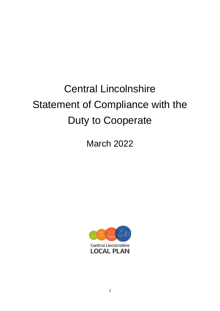# Central Lincolnshire Statement of Compliance with the Duty to Cooperate

March 2022

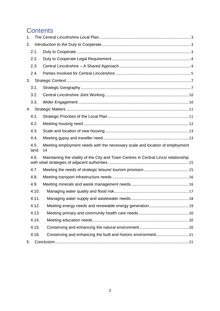# **Contents**

| 1.           |                                                                                      |  |
|--------------|--------------------------------------------------------------------------------------|--|
| 2.           |                                                                                      |  |
| 2.1.         |                                                                                      |  |
| 2.2.         |                                                                                      |  |
| 2.3.         |                                                                                      |  |
| 2.4.         |                                                                                      |  |
| 3.           |                                                                                      |  |
| 3.1.         |                                                                                      |  |
| 3.2.         |                                                                                      |  |
| 3.3.         |                                                                                      |  |
|              |                                                                                      |  |
| 4.1.         |                                                                                      |  |
| 4.2.         |                                                                                      |  |
| 4.3.         |                                                                                      |  |
| 4.4.         |                                                                                      |  |
| 4.5.<br>land | Meeting employment needs with the necessary scale and location of employment<br>14   |  |
| 4.6.         | Maintaining the vitality of the City and Town Centres in Central Lincs/ relationship |  |
| 4.7.         |                                                                                      |  |
| 4.8.         |                                                                                      |  |
| 4.9.         |                                                                                      |  |
| 4.10.        |                                                                                      |  |
| 4.11.        | 18                                                                                   |  |
| 4.12.        |                                                                                      |  |
| 4.13.        |                                                                                      |  |
| 4.14.        |                                                                                      |  |
| 4.15.        |                                                                                      |  |
| 4.16.        |                                                                                      |  |
| 5.           |                                                                                      |  |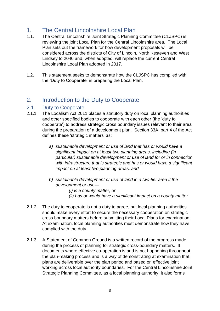# <span id="page-2-0"></span>1. The Central Lincolnshire Local Plan

- 1.1. The Central Lincolnshire Joint Strategic Planning Committee (CLJSPC) is reviewing the joint Local Plan for the Central Lincolnshire area. The Local Plan sets out the framework for how development proposals will be considered across the districts of City of Lincoln, North Kesteven and West Lindsey to 2040 and, when adopted, will replace the current Central Lincolnshire Local Plan adopted in 2017.
- 1.2. This statement seeks to demonstrate how the CLJSPC has complied with the 'Duty to Cooperate' in preparing the Local Plan.

# <span id="page-2-1"></span>2. Introduction to the Duty to Cooperate

#### <span id="page-2-2"></span>2.1. Duty to Cooperate

- 2.1.1. The Localism Act 2011 places a statutory duty on local planning authorities and other specified bodies to cooperate with each other (the 'duty to cooperate') to address strategic cross boundary issues relevant to their area during the preparation of a development plan. Section 33A, part 4 of the Act defines these 'strategic matters' as:
	- *a) sustainable development or use of land that has or would have a significant impact on at least two planning areas, including (in particular) sustainable development or use of land for or in connection with infrastructure that is strategic and has or would have a significant impact on at least two planning areas, and*
	- *b) sustainable development or use of land in a two-tier area if the development or use—*
		- *(i) is a county matter, or (ii) has or would have a significant impact on a county matter*
- 2.1.2. The duty to cooperate is not a duty to agree, but local planning authorities should make every effort to secure the necessary cooperation on strategic cross boundary matters before submitting their Local Plans for examination. At examination, local planning authorities must demonstrate how they have complied with the duty.
- 2.1.3. A Statement of Common Ground is a written record of the progress made during the process of planning for strategic cross-boundary matters. It documents where effective co-operation is and is not happening throughout the plan-making process and is a way of demonstrating at examination that plans are deliverable over the plan period and based on effective joint working across local authority boundaries. For the Central Lincolnshire Joint Strategic Planning Committee, as a local planning authority, it also forms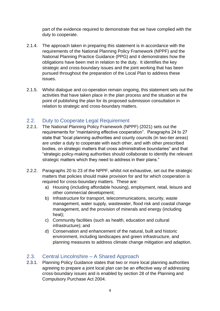part of the evidence required to demonstrate that we have complied with the duty to cooperate.

- 2.1.4. The approach taken in preparing this statement is in accordance with the requirements of the National Planning Policy Framework (NPPF) and the National Planning Practice Guidance (PPG) and it demonstrates how the obligations have been met in relation to the duty. It identifies the key strategic and cross-boundary issues and the joint working that has been pursued throughout the preparation of the Local Plan to address these issues.
- 2.1.5. Whilst dialogue and co-operation remain ongoing, this statement sets out the activities that have taken place in the plan process and the situation at the point of publishing the plan for its proposed submission consultation in relation to strategic and cross-boundary matters.

# <span id="page-3-0"></span>2.2. Duty to Cooperate Legal Requirement

- 2.2.1. The National Planning Policy Framework (NPPF) (2021) sets out the requirements for "maintaining effective cooperation". Paragraphs 24 to 27 state that "local planning authorities and county councils (in two-tier areas) are under a duty to cooperate with each other, and with other prescribed bodies, on strategic matters that cross administrative boundaries" and that "strategic policy-making authorities should collaborate to identify the relevant strategic matters which they need to address in their plans."
- 2.2.2. Paragraphs 20 to 23 of the NPPF, whilst not exhaustive, set out the strategic matters that policies should make provision for and for which cooperation is required for cross-boundary matters. These are:
	- a) Housing (including affordable housing), employment, retail, leisure and other commercial development;
	- b) Infrastructure for transport, telecommunications, security, waste management, water supply, wastewater, flood risk and coastal change management, and the provision of minerals and energy (including heat);
	- c) Community facilities (such as health, education and cultural infrastructure); and
	- d) Conservation and enhancement of the natural, built and historic environment, including landscapes and green infrastructure, and planning measures to address climate change mitigation and adaption.

# <span id="page-3-1"></span>2.3. Central Lincolnshire – A Shared Approach

2.3.1. Planning Policy Guidance states that two or more local planning authorities agreeing to prepare a joint local plan can be an effective way of addressing cross-boundary issues and is enabled by section 28 of the Planning and Compulsory Purchase Act 2004.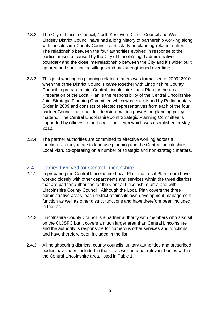- 2.3.2. The City of Lincoln Council, North Kesteven District Council and West Lindsey District Council have had a long history of partnership working along with Lincolnshire County Council, particularly on planning-related matters. The relationship between the four authorities evolved in response to the particular issues caused by the City of Lincoln's tight administrative boundary and the close interrelationship between the City and it's wider built up area and surrounding villages and has strengthened over time.
- 2.3.3. This joint working on planning-related matters was formalised in 2009/ 2010 when the three District Councils came together with Lincolnshire County Council to prepare a joint Central Lincolnshire Local Plan for the area. Preparation of the Local Plan is the responsibility of the Central Lincolnshire Joint Strategic Planning Committee which was established by Parliamentary Order in 2009 and consists of elected representatives from each of the four partner Councils and has full decision-making powers on planning policy matters. The Central Lincolnshire Joint Strategic Planning Committee is supported by officers in the Local Plan Team which was established in May 2010.
- 2.3.4. The partner authorities are committed to effective working across all functions as they relate to land use planning and the Central Lincolnshire Local Plan, co-operating on a number of strategic and non-strategic matters.

## <span id="page-4-0"></span>2.4. Parties Involved for Central Lincolnshire

- 2.4.1. In preparing the Central Lincolnshire Local Plan, the Local Plan Team have worked closely with other departments and services within the three districts that are partner authorities for the Central Lincolnshire area and with Lincolnshire County Council. Although the Local Plan covers the three administrative areas, each district retains its own development management function as well as other district functions and have therefore been included in the list.
- 2.4.2. Lincolnshire County Council is a partner authority with members who also sit on the CLJSPC but it covers a much larger area than Central Lincolnshire and the authority is responsible for numerous other services and functions and have therefore been included in the list.
- 2.4.3. All neighbouring districts, county councils, unitary authorities and prescribed bodies have been included in the list as well as other relevant bodies within the Central Lincolnshire area, listed in Table 1.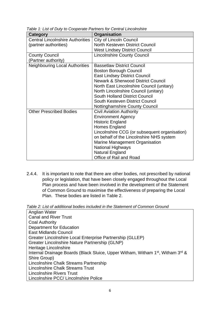| Category                                | Organisation                                  |
|-----------------------------------------|-----------------------------------------------|
| <b>Central Lincolnshire Authorities</b> | <b>City of Lincoln Council</b>                |
| (partner authorities)                   | North Kesteven District Council               |
|                                         | <b>West Lindsey District Council</b>          |
| <b>County Council</b>                   | <b>Lincolnshire County Council</b>            |
| (Partner authority)                     |                                               |
| <b>Neighbouring Local Authorities</b>   | <b>Bassetlaw District Council</b>             |
|                                         | <b>Boston Borough Council</b>                 |
|                                         | <b>East Lindsey District Council</b>          |
|                                         | <b>Newark &amp; Sherwood District Council</b> |
|                                         | North East Lincolnshire Council (unitary)     |
|                                         | North Lincolnshire Council (unitary)          |
|                                         | <b>South Holland District Council</b>         |
|                                         | South Kesteven District Council               |
|                                         | <b>Nottinghamshire County Council</b>         |
| <b>Other Prescribed Bodies</b>          | <b>Civil Aviation Authority</b>               |
|                                         | <b>Environment Agency</b>                     |
|                                         | <b>Historic England</b>                       |
|                                         | Homes England                                 |
|                                         | Lincolnshire CCG (or subsequent organisation) |
|                                         | on behalf of the Lincolnshire NHS system      |
|                                         | Marine Management Organisation                |
|                                         | National Highways                             |
|                                         | <b>Natural England</b>                        |
|                                         | Office of Rail and Road                       |

*Table 1: List of Duty to Cooperate Partners for Central Lincolnshire*

2.4.4. It is important to note that there are other bodies, not prescribed by national policy or legislation, that have been closely engaged throughout the Local Plan process and have been involved in the development of the Statement of Common Ground to maximise the effectiveness of preparing the Local Plan. These bodies are listed in Table 2.

*Table 2: List of additional bodies included in the Statement of Common Ground*

Anglian Water Canal and River Trust Coal Authority Department for Education East Midlands Council Greater Lincolnshire Local Enterprise Partnership (GLLEP) Greater Lincolnshire Nature Partnership (GLNP) Heritage Lincolnshire Internal Drainage Boards (Black Sluice, Upper Witham, Witham 1<sup>st</sup>, Witham 3<sup>rd</sup> & Shire Group) Lincolnshire Chalk Streams Partnership Lincolnshire Chalk Streams Trust Lincolnshire Rivers Trust Lincolnshire PCC/ Lincolnshire Police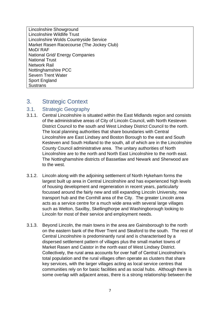Lincolnshire Showground Lincolnshire Wildlife Trust Lincolnshire Wolds Countryside Service Market Rasen Racecourse (The Jockey Club) MoD/ RAF National Grid/ Energy Companies National Trust Network Rail Nottinghamshire PCC Severn Trent Water Sport England **Sustrans** 

# <span id="page-6-0"></span>3. Strategic Context

## <span id="page-6-1"></span>3.1. Strategic Geography

- 3.1.1. Central Lincolnshire is situated within the East Midlands region and consists of the administrative areas of City of Lincoln Council, with North Kesteven District Council to the south and West Lindsey District Council to the north. The local planning authorities that share boundaries with Central Lincolnshire are East Lindsey and Boston Borough to the east and South Kesteven and South Holland to the south, all of which are in the Lincolnshire County Council administrative area. The unitary authorities of North Lincolnshire are to the north and North East Lincolnshire to the north east. The Nottinghamshire districts of Bassetlaw and Newark and Sherwood are to the west.
- 3.1.2. Lincoln along with the adjoining settlement of North Hykeham forms the largest built up area in Central Lincolnshire and has experienced high levels of housing development and regeneration in recent years, particularly focussed around the fairly new and still expanding Lincoln University, new transport hub and the Cornhill area of the City. The greater Lincoln area acts as a service centre for a much wide area with several large villages such as Welton, Saxilby, Skellingthorpe and Washingborough looking to Lincoln for most of their service and employment needs.
- 3.1.3. Beyond Lincoln, the main towns in the area are Gainsborough to the north on the eastern bank of the River Trent and Sleaford to the south. The rest of Central Lincolnshire is predominantly rural and is characterised by a dispersed settlement pattern of villages plus the small market towns of Market Rasen and Caistor in the north east of West Lindsey District. Collectively, the rural area accounts for over half of Central Lincolnshire's total population and the rural villages often operate as clusters that share key services, with the larger villages acting as local service centres that communities rely on for basic facilities and as social hubs. Although there is some overlap with adjacent areas, there is a strong relationship between the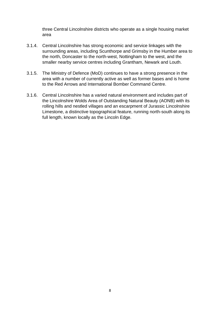three Central Lincolnshire districts who operate as a single housing market area

- 3.1.4. Central Lincolnshire has strong economic and service linkages with the surrounding areas, including Scunthorpe and Grimsby in the Humber area to the north, Doncaster to the north-west, Nottingham to the west, and the smaller nearby service centres including Grantham, Newark and Louth.
- 3.1.5. The Ministry of Defence (MoD) continues to have a strong presence in the area with a number of currently active as well as former bases and is home to the Red Arrows and International Bomber Command Centre.
- 3.1.6. Central Lincolnshire has a varied natural environment and includes part of the Lincolnshire Wolds Area of Outstanding Natural Beauty (AONB) with its rolling hills and nestled villages and an escarpment of Jurassic Lincolnshire Limestone, a distinctive topographical feature, running north-south along its full length, known locally as the Lincoln Edge.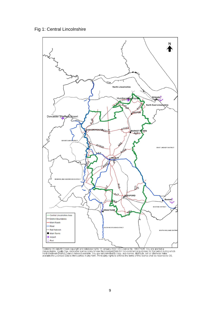



Contains OS data © Crown copyright and database rights 10 January 2022. OS Licence No. 100017926. You are granted a<br>Then-exclusive, royalty free, revocable licence solely to view the Licensed Data for non-commercial purpos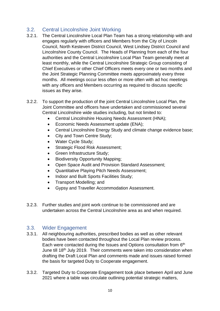# <span id="page-9-0"></span>3.2. Central Lincolnshire Joint Working

- 3.2.1. The Central Lincolnshire Local Plan Team has a strong relationship with and engages regularly with officers and Members from the City of Lincoln Council, North Kesteven District Council, West Lindsey District Council and Lincolnshire County Council. The Heads of Planning from each of the four authorities and the Central Lincolnshire Local Plan Team generally meet at least monthly, while the Central Lincolnshire Strategic Group consisting of Chief Executives or other Chief Officers meets every one or two months and the Joint Strategic Planning Committee meets approximately every three months. All meetings occur less often or more often with ad hoc meetings with any officers and Members occurring as required to discuss specific issues as they arise.
- 3.2.2. To support the production of the joint Central Lincolnshire Local Plan, the Joint Committee and officers have undertaken and commissioned several Central Lincolnshire wide studies including, but not limited to:
	- Central Lincolnshire Housing Needs Assessment (HNA);
	- Economic Needs Assessment update (ENA);
	- Central Lincolnshire Energy Study and climate change evidence base;
	- City and Town Centre Study:
	- Water Cycle Study;
	- Strategic Flood Risk Assessment;
	- Green Infrastructure Study;
	- Biodiversity Opportunity Mapping;
	- Open Space Audit and Provision Standard Assessment;
	- Quantitative Playing Pitch Needs Assessment;
	- Indoor and Built Sports Facilities Study;
	- Transport Modelling; and
	- Gypsy and Traveller Accommodation Assessment.
- 3.2.3. Further studies and joint work continue to be commissioned and are undertaken across the Central Lincolnshire area as and when required.

## <span id="page-9-1"></span>3.3. Wider Engagement

- 3.3.1. All neighbouring authorities, prescribed bodies as well as other relevant bodies have been contacted throughout the Local Plan review process. Each were contacted during the Issues and Options consultation from 6<sup>th</sup> June till 18<sup>th</sup> July 2019. Their comments were taken into consideration when drafting the Draft Local Plan and comments made and issues raised formed the basis for targeted Duty to Cooperate engagement.
- 3.3.2. Targeted Duty to Cooperate Engagement took place between April and June 2021 where a table was circulate outlining potential strategic matters,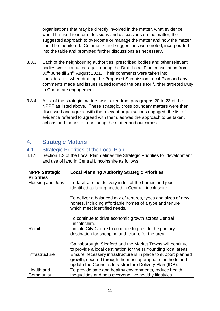organisations that may be directly involved in the matter, what evidence would be used to inform decisions and discussions on the matter, the suggested approach to overcome or manage the matter and how the matter could be monitored. Comments and suggestions were noted, incorporated into the table and prompted further discussions as necessary.

- 3.3.3. Each of the neighbouring authorities, prescribed bodies and other relevant bodies were contacted again during the Draft Local Plan consultation from 30<sup>th</sup> June till 24<sup>th</sup> August 2021. Their comments were taken into consideration when drafting the Proposed Submission Local Plan and any comments made and issues raised formed the basis for further targeted Duty to Cooperate engagement.
- 3.3.4. A list of the strategic matters was taken from paragraphs 20 to 23 of the NPPF as listed above. These strategic, cross boundary matters were then discussed and agreed with the relevant organisations engaged, the list of evidence referred to agreed with them, as was the approach to be taken, actions and means of monitoring the matter and outcomes.

# <span id="page-10-0"></span>4. Strategic Matters

# <span id="page-10-1"></span>4.1. Strategic Priorities of the Local Plan

4.1.1. Section 1.3 of the Local Plan defines the Strategic Priorities for development and use of land in Central Lincolnshire as follows:

| <b>NPPF Strategic</b> | <b>Local Planning Authority Strategic Priorities</b>                                                                                                                                   |
|-----------------------|----------------------------------------------------------------------------------------------------------------------------------------------------------------------------------------|
| <b>Priorities</b>     |                                                                                                                                                                                        |
| Housing and Jobs      | To facilitate the delivery in full of the homes and jobs<br>identified as being needed in Central Lincolnshire.                                                                        |
|                       | To deliver a balanced mix of tenures, types and sizes of new<br>homes, including affordable homes of a type and tenure<br>which meet identified needs.                                 |
|                       | To continue to drive economic growth across Central<br>Lincolnshire.                                                                                                                   |
| Retail                | Lincoln City Centre to continue to provide the primary                                                                                                                                 |
|                       | destination for shopping and leisure for the area.                                                                                                                                     |
|                       | Gainsborough, Sleaford and the Market Towns will continue<br>to provide a local destination for the surrounding local areas.                                                           |
| Infrastructure        | Ensure necessary infrastructure is in place to support planned<br>growth, secured through the most appropriate methods and<br>update the Council's Infrastructure Delivery Plan (IDP). |
| Health and            | To provide safe and healthy environments, reduce health                                                                                                                                |
| Community             | inequalities and help everyone live healthy lifestyles.                                                                                                                                |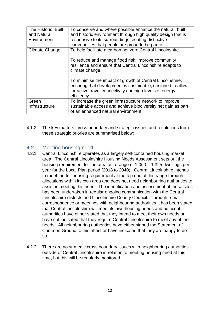| The Historic, Built<br>and Natural<br>Environment | To conserve and where possible enhance the natural, built<br>and historic environment through high quality design that is<br>responsive to its surroundings creating distinctive<br>communities that people are proud to be part of.                                                                                                                                                                    |
|---------------------------------------------------|---------------------------------------------------------------------------------------------------------------------------------------------------------------------------------------------------------------------------------------------------------------------------------------------------------------------------------------------------------------------------------------------------------|
| <b>Climate Change</b>                             | To help facilitate a carbon net zero Central Lincolnshire.<br>To reduce and manage flood risk, improve community<br>resilience and ensure that Central Lincolnshire adapts to<br>climate change.<br>To minimise the impact of growth of Central Lincolnshire,<br>ensuring that development is sustainable, designed to allow<br>for active travel connectivity and high levels of energy<br>efficiency. |
| Green<br>Infrastructure                           | To increase the green infrastructure network to improve<br>sustainable access and achieve biodiversity net gain as part<br>of an enhanced natural environment.                                                                                                                                                                                                                                          |

4.1.2. The key matters, cross-boundary and strategic issues and resolutions from these strategic priories are summarised below:

# <span id="page-11-0"></span>4.2. Meeting housing need

- 4.2.1. Central Lincolnshire operates as a largely self-contained housing market area. The Central Lincolnshire Housing Needs Assessment sets out the housing requirement for the area as a range of 1,060 – 1,325 dwellings per year for the Local Plan period (2018 to 2040). Central Lincolnshire intends to meet the full housing requirement at the top end of this range through allocations within its own area and does not need neighbouring authorities to assist in meeting this need. The identification and assessment of these sites has been undertaken in regular ongoing communication with the Central Lincolnshire districts and Lincolnshire County Council. Through e-mail correspondence or meetings with neighbouring authorities it has been stated that Central Lincolnshire will meet its own housing needs and adjacent authorities have either stated that they intend to meet their own needs or have not indicated that they require Central Lincolnshire to meet any of their needs. All neighbouring authorities have either signed the Statement of Common Ground to this effect or have indicated that they are happy to do so.
- 4.2.2. There are no strategic cross boundary issues with neighbouring authorities outside of Central Lincolnshire in relation to meeting housing need at this time, but this will be regularly monitored.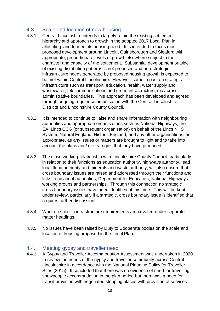# <span id="page-12-0"></span>4.3. Scale and location of new housing

- 4.3.1. Central Lincolnshire intends to largely retain the existing settlement hierarchy and approach to growth in the adopted 2017 Local Plan in allocating land to meet its housing need. It is intended to focus most proposed development around Lincoln, Gainsborough and Sleaford with appropriate, proportionate levels of growth elsewhere subject to the character and capacity of the settlement. Substantial development outside of existing distribution patterns is not proposed and non-strategic infrastructure needs generated by proposed housing growth is expected to be met within Central Lincolnshire. However, some impact on strategic infrastructure such as transport, education, health, water supply and wastewater, telecommunications and green infrastructure, may cross administrative boundaries. This approach has been developed and agreed through ongoing regular communication with the Central Lincolnshire Districts and Lincolnshire County Council.
- 4.3.2. It is intended to continue to liaise and share information with neighbouring authorities and appropriate organisations such as National Highways, the EA, Lincs CCG (or subsequent organisation) on behalf of the Lincs NHS System, Natural England, Historic England, and any other organisations, as appropriate, as any issues or matters are brought to light and to take into account the plans and/ or strategies that they have produced.
- 4.3.3. The close working relationship with Lincolnshire County Council, particularly in relation to their functions as education authority, highways authority, lead local flood authority and minerals and waste authority, will also ensure that cross boundary issues are raised and addressed through their functions and links to adjacent authorities, Department for Education, National Highways working groups and partnerships. Through this connection no strategic cross boundary issues have been identified at this time. This will be kept under review, particularly if a strategic, cross boundary issue is identified that requires further discussion.
- 4.3.4. Work on specific infrastructure requirements are covered under separate matter headings.
- 4.3.5. No issues have been raised by Duty to Cooperate bodies on the scale and location of housing proposed in the Local Plan.

# <span id="page-12-1"></span>4.4. Meeting gypsy and traveller need

4.4.1. A Gypsy and Traveller Accommodation Assessment was undertaken in 2020 to review the needs of the gypsy and traveller community across Central Lincolnshire in accordance with the National Planning Policy for Traveller Sites (2015). It concluded that there was no evidence of need for travelling showpeople accommodation in the plan period but there was a need for transit provision with negotiated stopping places with provision of services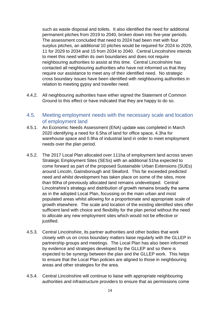such as waste disposal and toilets. It also identified the need for additional permanent pitches from 2019 to 2040, broken down into five-year periods. The assessment concluded that need to 2024 had been met with four surplus pitches, an additional 10 pitches would be required for 2024 to 2029, 11 for 2029 to 2034 and 15 from 2034 to 2040. Central Lincolnshire intends to meet this need within its own boundaries and does not require neighbouring authorities to assist at this time. Central Lincolnshire has contacted all neighbouring authorities who have not informed us that they require our assistance to meet any of their identified need. No strategic cross boundary issues have been identified with neighbouring authorities in relation to meeting gypsy and traveller need.

- 4.4.2. All neighbouring authorities have either signed the Statement of Common Ground to this effect or have indicated that they are happy to do so.
- <span id="page-13-0"></span>4.5. Meeting employment needs with the necessary scale and location of employment land
- 4.5.1. An Economic Needs Assessment (ENA) update was completed in March 2020 identifying a need for 6.5ha of land for office space, 4.3ha for warehouse space and 0.9ha of industrial land in order to meet employment needs over the plan period.
- 4.5.2. The 2017 Local Plan allocated over 111ha of employment land across seven Strategic Employment Sites (SESs) with an additional 51ha expected to come forward as part of the proposed Sustainable Urban Extensions (SUEs) around Lincoln, Gainsborough and Sleaford. This far exceeded predicted need and whilst development has taken place on some of the sites, more than 90ha of previously allocated land remains undeveloped. Central Lincolnshire's strategy and distribution of growth remains broadly the same as in the adopted Local Plan, focussing on the main urban and most populated areas whilst allowing for a proportionate and appropriate scale of growth elsewhere. The scale and location of the existing identified sites offer sufficient land with choice and flexibility for the plan period without the need to allocate any new employment sites which would not be effective or justified.
- 4.5.3. Central Lincolnshire, its partner authorities and other bodies that work closely with us on cross boundary matters liaise regularly with the GLLEP in partnership groups and meetings. The Local Plan has also been informed by evidence and strategies developed by the GLLEP and so there is expected to be synergy between the plan and the GLLEP work. This helps to ensure that the Local Plan policies are aligned to those in neighbouring areas and other strategies for the area.
- 4.5.4. Central Lincolnshire will continue to liaise with appropriate neighbouring authorities and infrastructure providers to ensure that as permissions come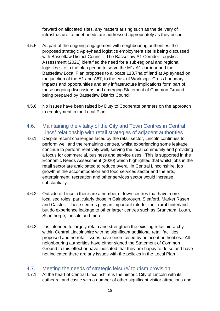forward on allocated sites, any matters arising such as the delivery of infrastructure to meet needs are addressed appropriately as they occur.

- 4.5.5. As part of the ongoing engagement with neighbouring authorities, the proposed strategic Apleyhead logistics employment site is being discussed with Bassetlaw District Council. The Bassetlaw A1 Corridor Logistics Assessment (2021) identified the need for a sub-regional and regional logistics site in the plan period to serve the M1/ A1 corridor and the Bassetlaw Local Plan proposes to allocate 118.7ha of land at Apleyhead on the junction of the A1 and A57, to the east of Worksop. Cross boundary impacts and opportunities and any infrastructure implications form part of these ongoing discussions and emerging Statement of Common Ground being prepared by Bassetlaw District Council.
- 4.5.6. No issues have been raised by Duty to Cooperate partners on the approach to employment in the Local Plan.
- <span id="page-14-0"></span>4.6. Maintaining the vitality of the City and Town Centres in Central Lincs/ relationship with retail strategies of adjacent authorities
- 4.6.1. Despite recent challenges faced by the retail sector, Lincoln continues to perform well and the remaining centres, whilst experiencing some leakage continue to perform relatively well, serving the local community and providing a focus for commercial, business and service uses. This is supported in the Economic Needs Assessment (2020) which highlighted that whilst jobs in the retail sector are anticipated to reduce overall in Central Lincolnshire, job growth in the accommodation and food services sector and the arts, entertainment, recreation and other services sector would increase substantially.
- 4.6.2. Outside of Lincoln there are a number of town centres that have more localised roles, particularly those in Gainsborough, Sleaford, Market Rasen and Caistor. These centres play an important role for their rural hinterland but do experience leakage to other larger centres such as Grantham, Louth, Scunthorpe, Lincoln and more.
- 4.6.3. It is intended to largely retain and strengthen the existing retail hierarchy within Central Lincolnshire with no significant additional retail facilities proposed and no retail issues have been raised by adjacent authorities. All neighbouring authorities have either signed the Statement of Common Ground to this effect or have indicated that they are happy to do so and have not indicated there are any issues with the policies in the Local Plan.

## <span id="page-14-1"></span>4.7. Meeting the needs of strategic leisure/ tourism provision

4.7.1. At the heart of Central Lincolnshire is the historic City of Lincoln with its cathedral and castle with a number of other significant visitor attractions and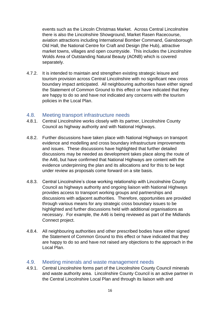events such as the Lincoln Christmas Market. Across Central Lincolnshire there is also the Lincolnshire Showground, Market Rasen Racecourse, aviation attractions including International Bomber Command, Gainsborough Old Hall, the National Centre for Craft and Design (the Hub), attractive market towns, villages and open countryside. This includes the Lincolnshire Wolds Area of Outstanding Natural Beauty (AONB) which is covered separately.

4.7.2. It is intended to maintain and strengthen existing strategic leisure and tourism provision across Central Lincolnshire with no significant new cross boundary impact anticipated. All neighbouring authorities have either signed the Statement of Common Ground to this effect or have indicated that they are happy to do so and have not indicated any concerns with the tourism policies in the Local Plan.

## <span id="page-15-0"></span>4.8. Meeting transport infrastructure needs

- 4.8.1. Central Lincolnshire works closely with its partner, Lincolnshire County Council as highway authority and with National Highways.
- 4.8.2. Further discussions have taken place with National Highways on transport evidence and modelling and cross boundary infrastructure improvements and issues. These discussions have highlighted that further detailed discussions may be needed as development takes place along the route of the A46, but have confirmed that National Highways are content with the evidence underpinning the plan and its allocations and for this to be kept under review as proposals come forward on a site basis.
- 4.8.3. Central Lincolnshire's close working relationship with Lincolnshire County Council as highways authority and ongoing liaison with National Highways provides access to transport working groups and partnerships and discussions with adjacent authorities. Therefore, opportunities are provided through various means for any strategic cross boundary issues to be highlighted and further discussions held with additional organisations as necessary. For example, the A46 is being reviewed as part of the Midlands Connect project.
- 4.8.4. All neighbouring authorities and other prescribed bodies have either signed the Statement of Common Ground to this effect or have indicated that they are happy to do so and have not raised any objections to the approach in the Local Plan.

#### <span id="page-15-1"></span>4.9. Meeting minerals and waste management needs

4.9.1. Central Lincolnshire forms part of the Lincolnshire County Council minerals and waste authority area. Lincolnshire County Council is an active partner in the Central Lincolnshire Local Plan and through its liaison with and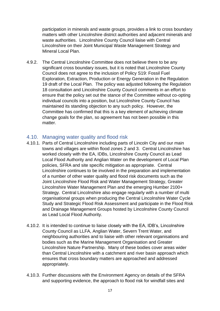participation in minerals and waste groups, provides a link to cross boundary matters with other Lincolnshire district authorities and adjacent minerals and waste authorities. Lincolnshire County Council liaise with Central Lincolnshire on their Joint Municipal Waste Management Strategy and Mineral Local Plan.

4.9.2. The Central Lincolnshire Committee does not believe there to be any significant cross boundary issues, but it is noted that Lincolnshire County Council does not agree to the inclusion of Policy S19: Fossil Fuel Exploration, Extraction, Production or Energy Generation in the Regulation 19 draft of the Local Plan. The policy was adjusted following the Regulation 18 consultation and Lincolnshire County Council comments in an effort to ensure that the policy set out the stance of the Committee without co-opting individual councils into a position, but Lincolnshire County Council has maintained its standing objection to any such policy. However, the Committee has confirmed that this is a key element of achieving climate change goals for the plan, so agreement has not been possible in this matter.

#### <span id="page-16-0"></span>4.10. Managing water quality and flood risk

- 4.10.1. Parts of Central Lincolnshire including parts of Lincoln City and our main towns and villages are within flood zones 2 and 3. Central Lincolnshire has worked closely with the EA, IDBs, Lincolnshire County Council as Lead Local Flood Authority and Anglian Water on the development of Local Plan policies, SFRA and site specific mitigation as appropriate. Central Lincolnshire continues to be involved in the preparation and implementation of a number of other water quality and flood risk documents such as the Joint Lincolnshire Flood Risk and Water Management Strategy, Greater Lincolnshire Water Management Plan and the emerging Humber 2100+ Strategy. Central Lincolnshire also engage regularly with a number of multi organisational groups when producing the Central Lincolnshire Water Cycle Study and Strategic Flood Risk Assessment and participate in the Flood Risk and Drainage Management Groups hosted by Lincolnshire County Council as Lead Local Flood Authority.
- 4.10.2. It is intended to continue to liaise closely with the EA, IDB's, Lincolnshire County Council as LLFA, Anglian Water, Severn Trent Water, and neighbouring authorities and to liaise with other relevant organisations and bodies such as the Marine Management Organisation and Greater Lincolnshire Nature Partnership. Many of these bodies cover areas wider than Central Lincolnshire with a catchment and river basin approach which ensures that cross boundary matters are approached and addressed appropriately.
- 4.10.3. Further discussions with the Environment Agency on details of the SFRA and supporting evidence, the approach to flood risk for windfall sites and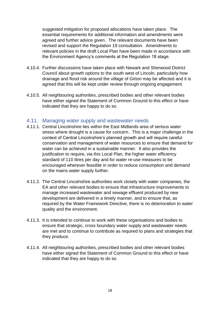suggested mitigation for proposed allocations have taken place. The essential requirements for additional information and amendments were agreed and further advice given. The relevant documents have been revised and support the Regulation 19 consultation. Amendments to relevant policies in the draft Local Plan have been made in accordance with the Environment Agency's comments at the Regulation 18 stage.

- 4.10.4. Further discussions have taken place with Newark and Sherwood District Council about growth options to the south west of Lincoln, particularly how drainage and flood risk around the village of Girton may be affected and it is agreed that this will be kept under review through ongoing engagement.
- 4.10.5. All neighbouring authorities, prescribed bodies and other relevant bodies have either signed the Statement of Common Ground to this effect or have indicated that they are happy to do so.

#### <span id="page-17-0"></span>4.11. Managing water supply and wastewater needs

- 4.11.1. Central Lincolnshire lies within the East Midlands area of serious water stress where drought is a cause for concern. This is a major challenge in the context of Central Lincolnshire's planned growth and will require careful conservation and management of water resources to ensure that demand for water can be achieved in a sustainable manner. It also provides the justification to require, via this Local Plan, the higher water efficiency standard of 110 litres per day and for water re-use measures to be encouraged wherever feasible in order to reduce consumption and demand on the mains water supply further.
- 4.11.2. The Central Lincolnshire authorities work closely with water companies, the EA and other relevant bodies to ensure that infrastructure improvements to manage increased wastewater and sewage effluent produced by new development are delivered in a timely manner, and to ensure that, as required by the Water Framework Directive, there is no deterioration to water quality and the environment.
- 4.11.3. It is intended to continue to work with these organisations and bodies to ensure that strategic, cross boundary water supply and wastewater needs are met and to continue to contribute as required to plans and strategies that they produce.
- 4.11.4. All neighbouring authorities, prescribed bodies and other relevant bodies have either signed the Statement of Common Ground to this effect or have indicated that they are happy to do so.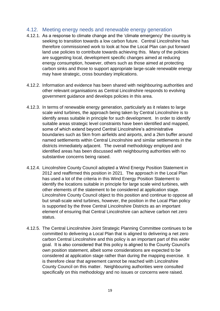#### <span id="page-18-0"></span>4.12. Meeting energy needs and renewable energy generation

- 4.12.1. As a response to climate change and the 'climate emergency' the country is seeking to transition towards a low carbon future. Central Lincolnshire has therefore commissioned work to look at how the Local Plan can put forward land use policies to contribute towards achieving this. Many of the policies are suggesting local, development specific changes aimed at reducing energy consumption, however, others such as those aimed at protecting carbon sinks and those to support appropriate large-scale renewable energy may have strategic, cross boundary implications.
- 4.12.2. Information and evidence has been shared with neighbouring authorities and other relevant organisations as Central Lincolnshire responds to evolving government guidance and develops policies in this area.
- 4.12.3. In terms of renewable energy generation, particularly as it relates to large scale wind turbines, the approach being taken by Central Lincolnshire is to identify areas suitable in principle for such development. In order to identify suitable areas strategic level constraints have been identified and mapped, some of which extend beyond Central Lincolnshire's administrative boundaries such as 5km from airfields and airports, and a 2km buffer around named settlements within Central Lincolnshire and similar settlements in the districts immediately adjacent. The overall methodology employed and identified areas has been discussed with neighbouring authorities with no substantive concerns being raised.
- 4.12.4. Lincolnshire County Council adopted a Wind Energy Position Statement in 2012 and reaffirmed this position in 2021. The approach in the Local Plan has used a lot of the criteria in this Wind Energy Position Statement to identify the locations suitable in principle for large scale wind turbines, with other elements of the statement to be considered at application stage. Lincolnshire County Council object to this position and continue to oppose all but small-scale wind turbines, however, the position in the Local Plan policy is supported by the three Central Lincolnshire Districts as an important element of ensuring that Central Lincolnshire can achieve carbon net zero status.
- 4.12.5. The Central Lincolnshire Joint Strategic Planning Committee continues to be committed to delivering a Local Plan that is aligned to delivering a net zero carbon Central Lincolnshire and this policy is an important part of this wider goal. It is also considered that this policy is aligned to the County Council's own position statement, albeit some considerations are expected to be considered at application stage rather than during the mapping exercise. It is therefore clear that agreement cannot be reached with Lincolnshire County Council on this matter. Neighbouring authorities were consulted specifically on this methodology and no issues or concerns were raised.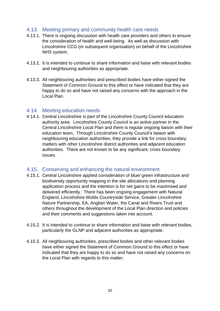# <span id="page-19-0"></span>4.13. Meeting primary and community health care needs

- 4.13.1. There is ongoing discussion with health care providers and others to ensure the consideration of health and well-being. As well as discussion with Lincolnshire CCG (or subsequent organisation) on behalf of the Lincolnshire NHS system.
- 4.13.2. It is intended to continue to share information and liaise with relevant bodies and neighbouring authorities as appropriate.
- 4.13.3. All neighbouring authorities and prescribed bodies have either signed the Statement of Common Ground to this effect or have indicated that they are happy to do so and have not raised any concerns with the approach in the Local Plan.

#### <span id="page-19-1"></span>4.14. Meeting education needs

4.14.1. Central Lincolnshire is part of the Lincolnshire County Council education authority area. Lincolnshire County Council is an active partner in the Central Lincolnshire Local Plan and there is regular ongoing liaison with their education team. Through Lincolnshire County Council's liaison with neighbouring education authorities, they provide a link for cross boundary matters with other Lincolnshire district authorities and adjacent education authorities. There are not known to be any significant, cross boundary issues.

## <span id="page-19-2"></span>4.15. Conserving and enhancing the natural environment

- 4.15.1. Central Lincolnshire applied consideration of blue/ green infrastructure and biodiversity opportunity mapping in the site allocations and planning application process and the intention is for net gains to be maximised and delivered efficiently. There has been ongoing engagement with Natural England, Lincolnshire Wolds Countryside Service, Greater Lincolnshire Nature Partnership, EA, Anglian Water, the Canal and Rivers Trust and others throughout the development of the Local Plan direction and policies and their comments and suggestions taken into account.
- 4.15.2. It is intended to continue to share information and liaise with relevant bodies, particularly the GLNP and adjacent authorities as appropriate.
- 4.15.3. All neighbouring authorities, prescribed bodies and other relevant bodies have either signed the Statement of Common Ground to this effect or have indicated that they are happy to do so and have not raised any concerns on the Local Plan with regards to this matter.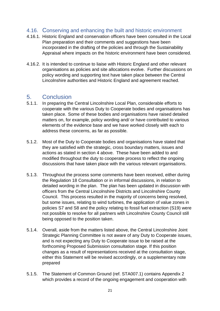# <span id="page-20-0"></span>4.16. Conserving and enhancing the built and historic environment

- 4.16.1. Historic England and conservation officers have been consulted in the Local Plan preparation and their comments and suggestions have been incorporated in the drafting of the policies and through the Sustainability Appraisal where impacts on the historic environment have been considered.
- 4.16.2. It is intended to continue to liaise with Historic England and other relevant organisations as policies and site allocations evolve. Further discussions on policy wording and supporting text have taken place between the Central Lincolnshire authorities and Historic England and agreement reached.

# <span id="page-20-1"></span>5. Conclusion

- 5.1.1. In preparing the Central Lincolnshire Local Plan, considerable efforts to cooperate with the various Duty to Cooperate bodies and organisations has taken place. Some of these bodies and organisations have raised detailed matters on, for example, policy wording and/ or have contributed to various elements of the evidence base and we have worked closely with each to address these concerns, as far as possible.
- 5.1.2. Most of the Duty to Cooperate bodies and organisations have stated that they are satisfied with the strategic, cross boundary matters, issues and actions as stated in section 4 above. These have been added to and modified throughout the duty to cooperate process to reflect the ongoing discussions that have taken place with the various relevant organisations.
- 5.1.3. Throughout the process some comments have been received, either during the Regulation 18 Consultation or in informal discussions, in relation to detailed wording in the plan. The plan has been updated in discussion with officers from the Central Lincolnshire Districts and Lincolnshire County Council. This process resulted in the majority of concerns being resolved, but some issues, relating to wind turbines, the application of value zones in policies S7 and S8 and the policy relating to fossil fuel extraction (S19) were not possible to resolve for all partners with Lincolnshire County Council still being opposed to the position taken.
- 5.1.4. Overall, aside from the matters listed above, the Central Lincolnshire Joint Strategic Planning Committee is not aware of any Duty to Cooperate issues, and is not expecting any Duty to Cooperate issue to be raised at the forthcoming Proposed Submission consultation stage. If this position changes as a result of representations received at the consultation stage, either this Statement will be revised accordingly, or a supplementary note prepared
- 5.1.5. The Statement of Common Ground (ref. STA007.1) contains Appendix 2 which provides a record of the ongoing engagement and cooperation with